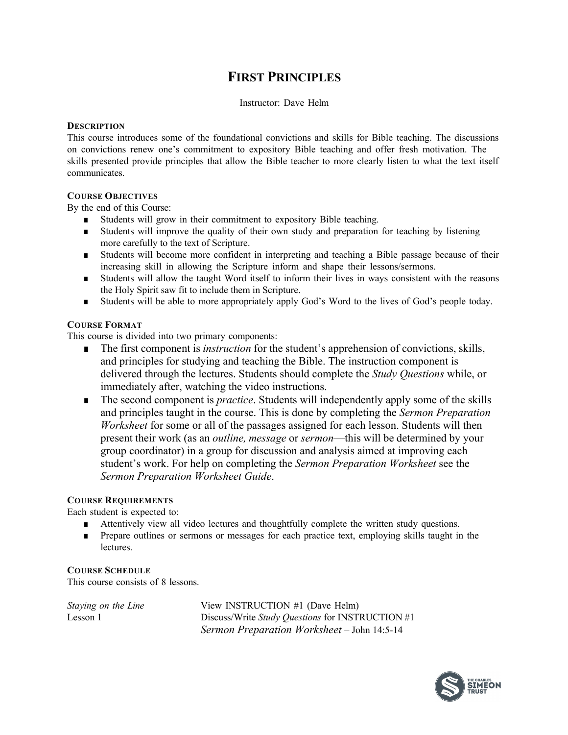# **FIRST PRINCIPLES**

# Instructor: Dave Helm

## **DESCRIPTION**

This course introduces some of the foundational convictions and skills for Bible teaching. The discussions on convictions renew one's commitment to expository Bible teaching and offer fresh motivation. The skills presented provide principles that allow the Bible teacher to more clearly listen to what the text itself communicates.

## **COURSE OBJECTIVES**

By the end of this Course:

- Students will grow in their commitment to expository Bible teaching.
- Students will improve the quality of their own study and preparation for teaching by listening more carefully to the text of Scripture.
- Students will become more confident in interpreting and teaching a Bible passage because of their increasing skill in allowing the Scripture inform and shape their lessons/sermons.
- Students will allow the taught Word itself to inform their lives in ways consistent with the reasons the Holy Spirit saw fit to include them in Scripture.
- Students will be able to more appropriately apply God's Word to the lives of God's people today.

## **COURSE FORMAT**

This course is divided into two primary components:

- The first component is *instruction* for the student's apprehension of convictions, skills, and principles for studying and teaching the Bible. The instruction component is delivered through the lectures. Students should complete the *Study Questions* while, or immediately after, watching the video instructions.
- The second component is *practice*. Students will independently apply some of the skills and principles taught in the course. This is done by completing the *Sermon Preparation Worksheet* for some or all of the passages assigned for each lesson. Students will then present their work (as an *outline, message* or *sermon*—this will be determined by your group coordinator) in a group for discussion and analysis aimed at improving each student's work. For help on completing the *Sermon Preparation Worksheet* see the *Sermon Preparation Worksheet Guide*.

# **COURSE REQUIREMENTS**

Each student is expected to:

- Attentively view all video lectures and thoughtfully complete the written study questions.
- Prepare outlines or sermons or messages for each practice text, employing skills taught in the lectures.

#### **COURSE SCHEDULE**

This course consists of 8 lessons.

*Staying on the Line* View INSTRUCTION #1 (Dave Helm) Lesson 1 Discuss/Write *Study Questions* for INSTRUCTION #1 *Sermon Preparation Worksheet* – John 14:5-14

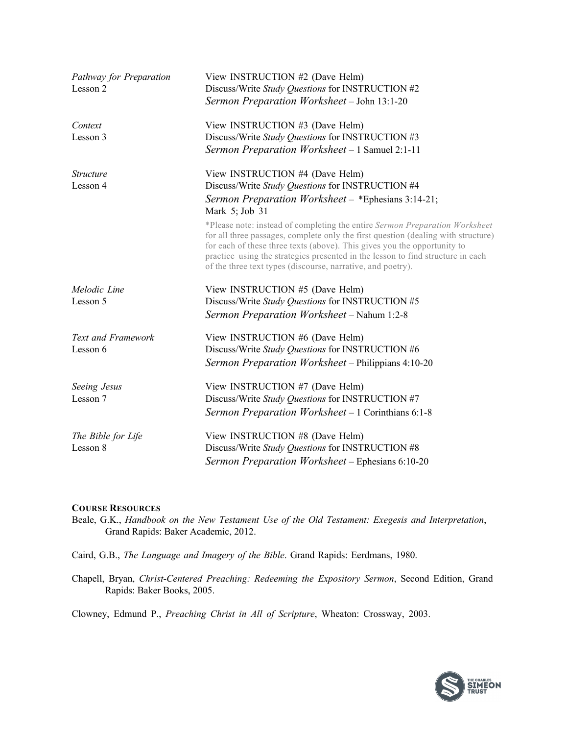| Pathway for Preparation<br>Lesson 2 | View INSTRUCTION #2 (Dave Helm)<br>Discuss/Write Study Questions for INSTRUCTION #2<br>Sermon Preparation Worksheet - John 13:1-20                                                                                                                                                                                                                                                             |
|-------------------------------------|------------------------------------------------------------------------------------------------------------------------------------------------------------------------------------------------------------------------------------------------------------------------------------------------------------------------------------------------------------------------------------------------|
| Context<br>Lesson 3                 | View INSTRUCTION #3 (Dave Helm)<br>Discuss/Write Study Questions for INSTRUCTION #3                                                                                                                                                                                                                                                                                                            |
|                                     | Sermon Preparation Worksheet - 1 Samuel 2:1-11                                                                                                                                                                                                                                                                                                                                                 |
| <i>Structure</i><br>Lesson 4        | View INSTRUCTION #4 (Dave Helm)<br>Discuss/Write Study Questions for INSTRUCTION #4                                                                                                                                                                                                                                                                                                            |
|                                     | Sermon Preparation Worksheet - *Ephesians 3:14-21;<br>Mark 5; Job 31                                                                                                                                                                                                                                                                                                                           |
|                                     | *Please note: instead of completing the entire Sermon Preparation Worksheet<br>for all three passages, complete only the first question (dealing with structure)<br>for each of these three texts (above). This gives you the opportunity to<br>practice using the strategies presented in the lesson to find structure in each<br>of the three text types (discourse, narrative, and poetry). |
| Melodic Line                        | View INSTRUCTION #5 (Dave Helm)                                                                                                                                                                                                                                                                                                                                                                |
| Lesson 5                            | Discuss/Write Study Questions for INSTRUCTION #5<br>Sermon Preparation Worksheet - Nahum 1:2-8                                                                                                                                                                                                                                                                                                 |
| Text and Framework                  | View INSTRUCTION #6 (Dave Helm)                                                                                                                                                                                                                                                                                                                                                                |
| Lesson 6                            | Discuss/Write Study Questions for INSTRUCTION #6<br>Sermon Preparation Worksheet - Philippians 4:10-20                                                                                                                                                                                                                                                                                         |
| Seeing Jesus                        | View INSTRUCTION #7 (Dave Helm)                                                                                                                                                                                                                                                                                                                                                                |
| Lesson 7                            | Discuss/Write Study Questions for INSTRUCTION #7<br>Sermon Preparation Worksheet - 1 Corinthians 6:1-8                                                                                                                                                                                                                                                                                         |
| The Bible for Life<br>Lesson 8      | View INSTRUCTION #8 (Dave Helm)<br>Discuss/Write Study Questions for INSTRUCTION #8                                                                                                                                                                                                                                                                                                            |
|                                     | Sermon Preparation Worksheet - Ephesians 6:10-20                                                                                                                                                                                                                                                                                                                                               |

#### **COURSE RESOURCES**

- Beale, G.K., *Handbook on the New Testament Use of the Old Testament: Exegesis and Interpretation*, Grand Rapids: Baker Academic, 2012.
- Caird, G.B., *The Language and Imagery of the Bible*. Grand Rapids: Eerdmans, 1980.
- Chapell, Bryan, *Christ-Centered Preaching: Redeeming the Expository Sermon*, Second Edition, Grand Rapids: Baker Books, 2005.

Clowney, Edmund P., *Preaching Christ in All of Scripture*, Wheaton: Crossway, 2003.